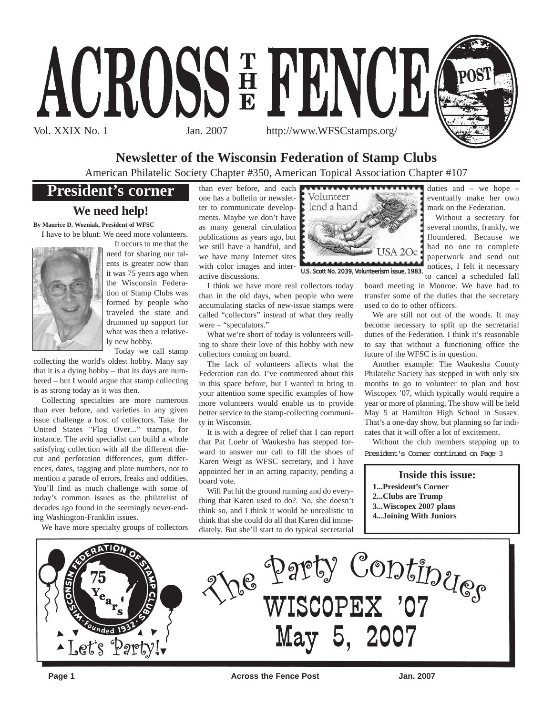

## **Newsletter of the Wisconsin Federation of Stamp Clubs**

American Philatelic Society Chapter #350, American Topical Association Chapter #107

## **President's corner**

## **We need help!**

**By Maurice D. Wozniak, President of WFSC** I have to be blunt: We need more volunteers.



It occurs to me that the need for sharing our talents is greater now than it was 75 years ago when the Wisconsin Federation of Stamp Clubs was formed by people who traveled the state and drummed up support for what was then a relatively new hobby.

Today we call stamp

collecting the world's oldest hobby. Many say that it is a dying hobby – that its days are numbered – but I would argue that stamp collecting is as strong today as it was then.

Collecting specialties are more numerous than ever before, and varieties in any given issue challenge a host of collectors. Take the United States "Flag Over..." stamps, for instance. The avid specialist can build a whole satisfying collection with all the different diecut and perforation differences, gum differences, dates, tagging and plate numbers, not to mention a parade of errors, freaks and oddities. You'll find as much challenge with some of today's common issues as the philatelist of decades ago found in the seemingly never-ending Washington-Franklin issues.

We have more specialty groups of collectors

one has a bulletin or newsletter to communicate developments. Maybe we don't have as many general circulation publications as years ago, but we still have a handful, and we have many Internet sites with color images and interactive discussions.

I think we have more real collectors today than in the old days, when people who were accumulating stacks of new-issue stamps were called "collectors" instead of what they really were – "speculators."

What we're short of today is volunteers willing to share their love of this hobby with new collectors coming on board.

The lack of volunteers affects what the Federation can do. I've commented about this in this space before, but I wanted to bring to your attention some specific examples of how more volunteers would enable us to provide better service to the stamp-collecting community in Wisconsin.

It is with a degree of relief that I can report that Pat Loehr of Waukesha has stepped forward to answer our call to fill the shoes of Karen Weigt as WFSC secretary, and I have appointed her in an acting capacity, pending a board vote.

Will Pat hit the ground running and do everything that Karen used to do?. No, she doesn't think so, and I think it would be unrealistic to think that she could do all that Karen did immediately. But she'll start to do typical secretarial



U.S. Scott No. 2039, Volunteerism issue, 1983.

mark on the Federation. Without a secretary for several months, frankly, we

duties and – we hope – eventually make her own

floundered. Because we had no one to complete paperwork and send out notices, I felt it necessary to cancel a scheduled fall

board meeting in Monroe. We have had to transfer some of the duties that the secretary used to do to other officers.

We are still not out of the woods. It may become necessary to split up the secretarial duties of the Federation. I think it's reasonable to say that without a functioning office the future of the WFSC is in question.

Another example: The Waukesha County Philatelic Society has stepped in with only six months to go to volunteer to plan and host Wiscopex '07, which typically would require a year or more of planning. The show will be held May 5 at Hamilton High School in Sussex. That's a one-day show, but planning so far indicates that it will offer a lot of excitement.

Without the club members stepping up to President's Corner continued on Page 3

## **Inside this issue:**

- **1...President's Corner**
- **2...Clubs are Trump**
- **3...Wiscopex 2007 plans**
- **4...Joining With Juniors**

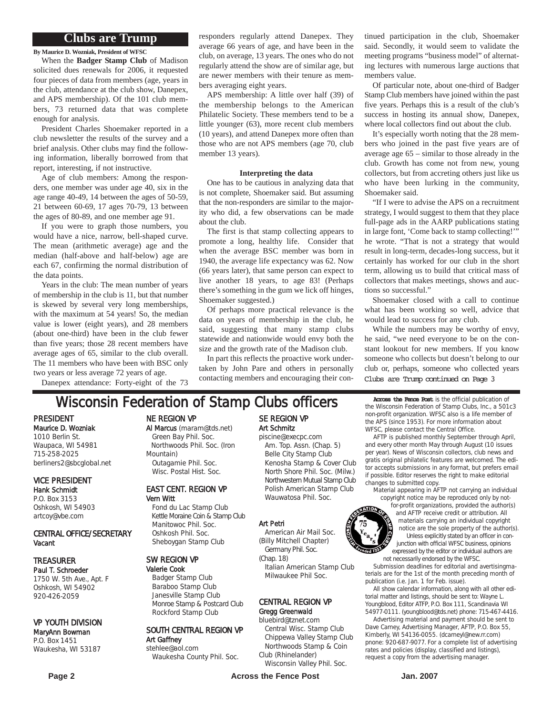## **Clubs are Trump**

**By Maurice D. Wozniak, President of WFSC**

When the **Badger Stamp Club** of Madison solicited dues renewals for 2006, it requested four pieces of data from members (age, years in the club, attendance at the club show, Danepex, and APS membership). Of the 101 club members, 73 returned data that was complete enough for analysis.

President Charles Shoemaker reported in a club newsletter the results of the survey and a brief analysis. Other clubs may find the following information, liberally borrowed from that report, interesting, if not instructive.

Age of club members: Among the responders, one member was under age 40, six in the age range 40-49, 14 between the ages of 50-59, 21 between 60-69, 17 ages 70-79, 13 between the ages of 80-89, and one member age 91.

If you were to graph those numbers, you would have a nice, narrow, bell-shaped curve. The mean (arithmetic average) age and the median (half-above and half-below) age are each 67, confirming the normal distribution of the data points.

Years in the club: The mean number of years of membership in the club is 11, but that number is skewed by several very long memberships, with the maximum at 54 years! So, the median value is lower (eight years), and 28 members (about one-third) have been in the club fewer than five years; those 28 recent members have average ages of 65, similar to the club overall. The 11 members who have been with BSC only two years or less average 72 years of age.

Danepex attendance: Forty-eight of the 73

responders regularly attend Danepex. They average 66 years of age, and have been in the club, on average, 13 years. The ones who do not regularly attend the show are of similar age, but are newer members with their tenure as members averaging eight years.

APS membership: A little over half (39) of the membership belongs to the American Philatelic Society. These members tend to be a little younger (63), more recent club members (10 years), and attend Danepex more often than those who are not APS members (age 70, club member 13 years).

#### **Interpreting the data**

One has to be cautious in analyzing data that is not complete, Shoemaker said. But assuming that the non-responders are similar to the majority who did, a few observations can be made about the club.

The first is that stamp collecting appears to promote a long, healthy life. Consider that when the average BSC member was born in 1940, the average life expectancy was 62. Now (66 years later), that same person can expect to live another 18 years, to age 83! (Perhaps there's something in the gum we lick off hinges, Shoemaker suggested.)

Of perhaps more practical relevance is the data on years of membership in the club, he said, suggesting that many stamp clubs statewide and nationwide would envy both the size and the growth rate of the Madison club.

In part this reflects the proactive work undertaken by John Pare and others in personally contacting members and encouraging their continued participation in the club, Shoemaker said. Secondly, it would seem to validate the meeting programs "business model" of alternating lectures with numerous large auctions that members value.

Of particular note, about one-third of Badger Stamp Club members have joined within the past five years. Perhaps this is a result of the club's success in hosting its annual show, Danepex, where local collectors find out about the club.

It's especially worth noting that the 28 members who joined in the past five years are of average age 65 – similar to those already in the club. Growth has come not from new, young collectors, but from accreting others just like us who have been lurking in the community, Shoemaker said.

"If I were to advise the APS on a recruitment strategy, I would suggest to them that they place full-page ads in the AARP publications stating in large font, 'Come back to stamp collecting!'" he wrote. "That is not a strategy that would result in long-term, decades-long success, but it certainly has worked for our club in the short term, allowing us to build that critical mass of collectors that makes meetings, shows and auctions so successful."

Shoemaker closed with a call to continue what has been working so well, advice that would lead to success for any club.

While the numbers may be worthy of envy, he said, "we need everyone to be on the constant lookout for new members. If you know someone who collects but doesn't belong to our club or, perhaps, someone who collected years Clubs are Trump continued on Page 3

## **Wisconsin Federation of Stamp Clubs officers** Across the Fence Post is the official publication of

PRESIDENT Maurice D. Wozniak 1010 Berlin St. Waupaca, WI 54981 715-258-2025 berliners2@sbcglobal.net

VICE PRESIDENT Hank Schmidt P.O. Box 3153

Oshkosh, WI 54903 artcoy@vbe.com

### CENTRAL OFFICE/SECRETARY Vacant

## TREASURER

Paul T. Schroeder 1750 W. 5th Ave., Apt. F Oshkosh, WI 54902 920-426-2059

### VP YOUTH DIVISION

#### MaryAnn Bowman P.O. Box 1451 Waukesha, WI 53187

NE REGION VP

Al Marcus (maram@tds.net) Green Bay Phil. Soc. Northwoods Phil. Soc. (Iron Mountain) Outagamie Phil. Soc. Wisc. Postal Hist. Soc.

#### EAST CENT. REGION VP Vern Witt

Fond du Lac Stamp Club Kettle Moraine Coin & Stamp Club Manitowoc Phil. Soc. Oshkosh Phil. Soc. Sheboygan Stamp Club

## SW REGION VP

Valerie Cook Badger Stamp Club Baraboo Stamp Club Janesville Stamp Club Monroe Stamp & Postcard Club Rockford Stamp Club

## SOUTH CENTRAL REGION VP Art Gaffney

stehlee@aol.com Waukesha County Phil. Soc.

## SE REGION VP Art Schmitz piscine@execpc.com

Am. Top. Assn. (Chap. 5) Belle City Stamp Club Kenosha Stamp & Cover Club North Shore Phil. Soc. (Milw.) Northwestern Mutual Stamp Club Polish American Stamp Club Wauwatosa Phil. Soc.

### Art Petri

American Air Mail Soc. (Billy Mitchell Chapter) Germany Phil. Soc.

(Chap. 18) Italian American Stamp Club Milwaukee Phil Soc.

# CENTRAL REGION VP

### Gregg Greenwald

bluebird@tznet.com Central Wisc. Stamp Club Chippewa Valley Stamp Club Northwoods Stamp & Coin

Club (Rhinelander) Wisconsin Valley Phil. Soc.

**Page 2 Across the Fence Post 19th Across the Fence Post 19th Page 2 Across the Fence Post** 

the Wisconsin Federation of Stamp Clubs, Inc., a 501c3 non-profit organization. WFSC also is a life member of the APS (since 1953). For more information about WFSC, please contact the Central Office.

AFTP is published monthly September through April, and every other month May through August (10 issues per year). News of Wisconsin collectors, club news and gratis original philatelic features are welcomed. The editor accepts submissions in any format, but prefers email if possible. Editor reserves the right to make editorial changes to submitted copy.

material appearing in AFTP not carrying an individual copyright notice may be reproduced only by not-

for-profit organizations, provided the author(s) and AFTP receive credit or attribution. All materials carrying an individual copyright notice are the sole property of the author(s). Unless explicitly stated by an officer in conjunction with official WFSC business, opinions expressed by the editor or individual authors are not necessarily endorsed by the WFSC.

Submission deadlines for editorial and avertisingmaterials are for the 1st of the month preceding month of publication (i.e. Jan. 1 for Feb. issue).

All show calendar information, along with all other editorial matter and listings, should be sent to: Wayne L. Youngblood, Editor ATFP, P.O. Box 111, Scandinavia WI 54977-0111. (youngblood@tds.net) phone: 715-467-4416.

Advertising material and payment should be sent to Dave Carney, Advertising Manager, AFTP, P.O. Box 55, Kimberly, WI 54136-0055. (dcarneyl@new.rr.com) pnone: 920-687-9077. For a complete list of advertising rates and policies (display, classified and listings), request a copy from the advertising manager.

ded 1932.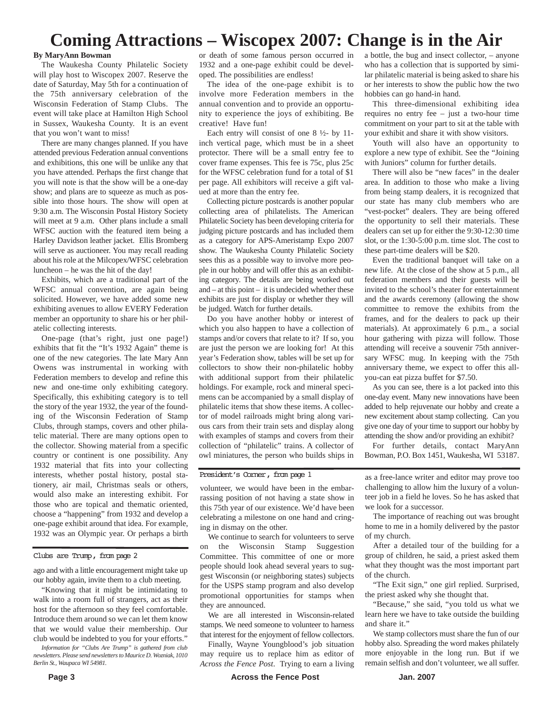## **Coming Attractions – Wiscopex 2007: Change is in the Air**

### **By MaryAnn Bowman**

The Waukesha County Philatelic Society will play host to Wiscopex 2007. Reserve the date of Saturday, May 5th for a continuation of the 75th anniversary celebration of the Wisconsin Federation of Stamp Clubs. The event will take place at Hamilton High School in Sussex, Waukesha County. It is an event that you won't want to miss!

There are many changes planned. If you have attended previous Federation annual conventions and exhibitions, this one will be unlike any that you have attended. Perhaps the first change that you will note is that the show will be a one-day show; and plans are to squeeze as much as possible into those hours. The show will open at 9:30 a.m. The Wisconsin Postal History Society will meet at 9 a.m. Other plans include a small WFSC auction with the featured item being a Harley Davidson leather jacket. Ellis Bromberg will serve as auctioneer. You may recall reading about his role at the Milcopex/WFSC celebration luncheon – he was the hit of the day!

Exhibits, which are a traditional part of the WFSC annual convention, are again being solicited. However, we have added some new exhibiting avenues to allow EVERY Federation member an opportunity to share his or her philatelic collecting interests.

One-page (that's right, just one page!) exhibits that fit the "It's 1932 Again" theme is one of the new categories. The late Mary Ann Owens was instrumental in working with Federation members to develop and refine this new and one-time only exhibiting category. Specifically, this exhibiting category is to tell the story of the year 1932, the year of the founding of the Wisconsin Federation of Stamp Clubs, through stamps, covers and other philatelic material. There are many options open to the collector. Showing material from a specific country or continent is one possibility. Any 1932 material that fits into your collecting interests, whether postal history, postal stationery, air mail, Christmas seals or others, would also make an interesting exhibit. For those who are topical and thematic oriented, choose a "happening" from 1932 and develop a one-page exhibit around that idea. For example, 1932 was an Olympic year. Or perhaps a birth

#### Clubs are Trump, from page 2

ago and with a little encouragement might take up our hobby again, invite them to a club meeting.

"Knowing that it might be intimidating to walk into a room full of strangers, act as their host for the afternoon so they feel comfortable. Introduce them around so we can let them know that we would value their membership. Our club would be indebted to you for your efforts."

*Information for "Clubs Are Trump" is gathered from club newsletters. Please send newsletters to Maurice D. Wozniak, 1010 Berlin St., Waupaca WI 54981.*

or death of some famous person occurred in 1932 and a one-page exhibit could be developed. The possibilities are endless!

The idea of the one-page exhibit is to involve more Federation members in the annual convention and to provide an opportunity to experience the joys of exhibiting. Be creative! Have fun!

Each entry will consist of one 8 ½- by 11 inch vertical page, which must be in a sheet protector. There will be a small entry fee to cover frame expenses. This fee is 75c, plus 25c for the WFSC celebration fund for a total of \$1 per page. All exhibitors will receive a gift valued at more than the entry fee.

Collecting picture postcards is another popular collecting area of philatelists. The American Philatelic Society has been developing criteria for judging picture postcards and has included them as a category for APS-Ameristamp Expo 2007 show. The Waukesha County Philatelic Society sees this as a possible way to involve more people in our hobby and will offer this as an exhibiting category. The details are being worked out and – at this point – it is undecided whether these exhibits are just for display or whether they will be judged. Watch for further details.

Do you have another hobby or interest of which you also happen to have a collection of stamps and/or covers that relate to it? If so, you are just the person we are looking for! At this year's Federation show, tables will be set up for collectors to show their non-philatelic hobby with additional support from their philatelic holdings. For example, rock and mineral specimens can be accompanied by a small display of philatelic items that show these items. A collector of model railroads might bring along various cars from their train sets and display along with examples of stamps and covers from their collection of "philatelic" trains. A collector of owl miniatures, the person who builds ships in

#### President's Corner, from page 1

volunteer, we would have been in the embarrassing position of not having a state show in this 75th year of our existence. We'd have been celebrating a milestone on one hand and cringing in dismay on the other.

We continue to search for volunteers to serve on the Wisconsin Stamp Suggestion Committee. This committee of one or more people should look ahead several years to suggest Wisconsin (or neighboring states) subjects for the USPS stamp program and also develop promotional opportunities for stamps when they are announced.

We are all interested in Wisconsin-related stamps. We need someone to volunteer to harness that interest for the enjoyment of fellow collectors.

Finally, Wayne Youngblood's job situation may require us to replace him as editor of *Across the Fence Post*. Trying to earn a living a bottle, the bug and insect collector, – anyone who has a collection that is supported by similar philatelic material is being asked to share his or her interests to show the public how the two hobbies can go hand-in hand.

This three-dimensional exhibiting idea requires no entry fee – just a two-hour time commitment on your part to sit at the table with your exhibit and share it with show visitors.

Youth will also have an opportunity to explore a new type of exhibit. See the "Joining with Juniors" column for further details.

There will also be "new faces" in the dealer area. In addition to those who make a living from being stamp dealers, it is recognized that our state has many club members who are "vest-pocket" dealers. They are being offered the opportunity to sell their materials. These dealers can set up for either the 9:30-12:30 time slot, or the 1:30-5:00 p.m. time slot. The cost to these part-time dealers will be \$20.

Even the traditional banquet will take on a new life. At the close of the show at 5 p.m., all federation members and their guests will be invited to the school's theater for entertainment and the awards ceremony (allowing the show committee to remove the exhibits from the frames, and for the dealers to pack up their materials). At approximately 6 p.m., a social hour gathering with pizza will follow. Those attending will receive a souvenir 75th anniversary WFSC mug. In keeping with the 75th anniversary theme, we expect to offer this allyou-can eat pizza buffet for \$7.50.

As you can see, there is a lot packed into this one-day event. Many new innovations have been added to help rejuvenate our hobby and create a new excitement about stamp collecting. Can you give one day of your time to support our hobby by attending the show and/or providing an exhibit?

For further details, contact MaryAnn Bowman, P.O. Box 1451, Waukesha, WI 53187.

as a free-lance writer and editor may prove too challenging to allow him the luxury of a volunteer job in a field he loves. So he has asked that we look for a successor.

The importance of reaching out was brought home to me in a homily delivered by the pastor of my church.

After a detailed tour of the building for a group of children, he said, a priest asked them what they thought was the most important part of the church.

"The Exit sign," one girl replied. Surprised, the priest asked why she thought that.

"Because," she said, "you told us what we learn here we have to take outside the building and share it."

We stamp collectors must share the fun of our hobby also. Spreading the word makes philately more enjoyable in the long run. But if we remain selfish and don't volunteer, we all suffer.